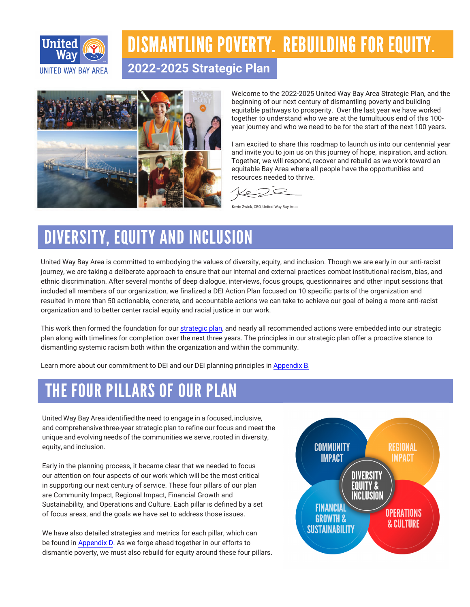

## DISMANTLING POVERTY. REBUILDING FOR EQUITY.

**2022-2025 Strategic Plan**



Welcome to the 2022-2025 United Way Bay Area Strategic Plan, and the beginning of our next century of dismantling poverty and building equitable pathways to prosperity. Over the last year we have worked together to understand who we are at the tumultuous end of this 100year journey and who we need to be for the start of the next 100 years.

I am excited to share this roadmap to launch us into our centennial year and invite you to join us on this journey of hope, inspiration, and action. Together, we will respond, recover and rebuild as we work toward an equitable Bay Area where all people have the opportunities and resources needed to thrive.

 $\sim$ 

Kevin Zwick, CEO, United Way Bay Area

## DIVERSITY, EQUITY AND INCLUSION

United Way Bay Area is committed to embodying the values of diversity, equity, and inclusion. Though we are early in our anti-racist journey, we are taking a deliberate approach to ensure that our internal and external practices combat institutional racism, bias, and ethnic discrimination. After several months of deep dialogue, interviews, focus groups, questionnaires and other input sessions that included all members of our organization, we finalized a DEI Action Plan focused on 10 specific parts of the organization and resulted in more than 50 actionable, concrete, and accountable actions we can take to achieve our goal of being a more anti-racist organization and to better center racial equity and racial justice in our work.

This work then formed the foundation for our strategic plan, and nearly all recommended actions were embedded into our strategic plan along with timelines for completion over the next three years. The principles in our strategic plan offer a proactive stance to dismantling systemic racism both within the organization and within the community.

Learn more about our commitment to DEI and our DEI planning principles in Appendix B.

## THE FOUR PILLARS OF OUR PLAN

United Way Bay Area identified the need to engage in a focused, inclusive, and comprehensive three-year strategic plan to refine our focus and meet the unique and evolving needs of the communities we serve, rooted in diversity, equity, and inclusion.

Early in the planning process, it became clear that we needed to focus our attention on four aspects of our work which will be the most critical in supporting our next century of service. These four pillars of our plan are Community Impact, Regional Impact, Financial Growth and Sustainability, and Operations and Culture. Each pillar is defined by a set of focus areas, and the goals we have set to address those issues.

We have also detailed strategies and metrics for each pillar, which can be found in Appendix D. As we forge ahead together in our efforts to dismantle poverty, we must also rebuild for equity around these four pillars.